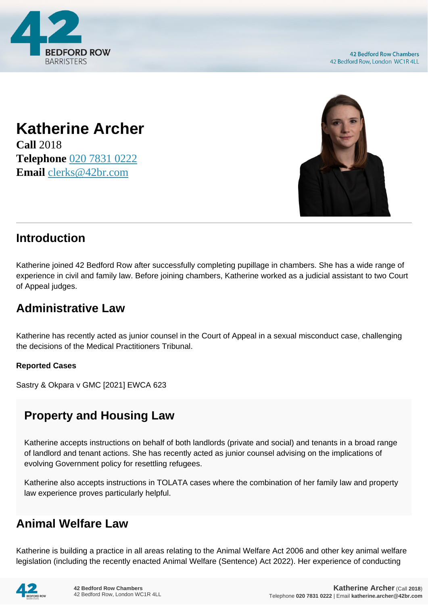

## **Katherine Archer Call** 2018 **Telephone** [020 7831 0222](https://pdf.codeshore.co/_42br/tel:020 7831 0222)

**Email** [clerks@42br.com](mailto:clerks@42br.com)



## **Introduction**

Katherine joined 42 Bedford Row after successfully completing pupillage in chambers. She has a wide range of experience in civil and family law. Before joining chambers, Katherine worked as a judicial assistant to two Court of Appeal judges.

# **Administrative Law**

Katherine has recently acted as junior counsel in the Court of Appeal in a sexual misconduct case, challenging the decisions of the Medical Practitioners Tribunal.

#### **Reported Cases**

Sastry & Okpara v GMC [2021] EWCA 623

## **Property and Housing Law**

Katherine accepts instructions on behalf of both landlords (private and social) and tenants in a broad range of landlord and tenant actions. She has recently acted as junior counsel advising on the implications of evolving Government policy for resettling refugees.

Katherine also accepts instructions in TOLATA cases where the combination of her family law and property law experience proves particularly helpful.

## **Animal Welfare Law**

Katherine is building a practice in all areas relating to the Animal Welfare Act 2006 and other key animal welfare legislation (including the recently enacted Animal Welfare (Sentence) Act 2022). Her experience of conducting